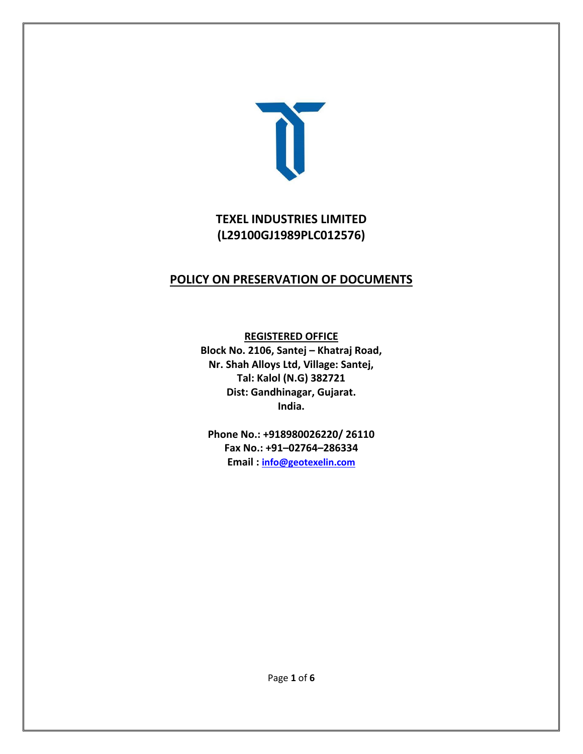

# **TEXEL INDUSTRIES LIMITED (L29100GJ1989PLC012576)**

# **POLICY ON PRESERVATION OF DOCUMENTS**

**REGISTERED OFFICE**

**Block No. 2106, Santej – Khatraj Road, Nr. Shah Alloys Ltd, Village: Santej, Tal: Kalol (N.G) 382721 Dist: Gandhinagar, Gujarat. India.**

**Phone No.: +918980026220/ 26110 Fax No.: +91–02764–286334 Email : [info@geotexelin.com](mailto:info@geotexelin.com)**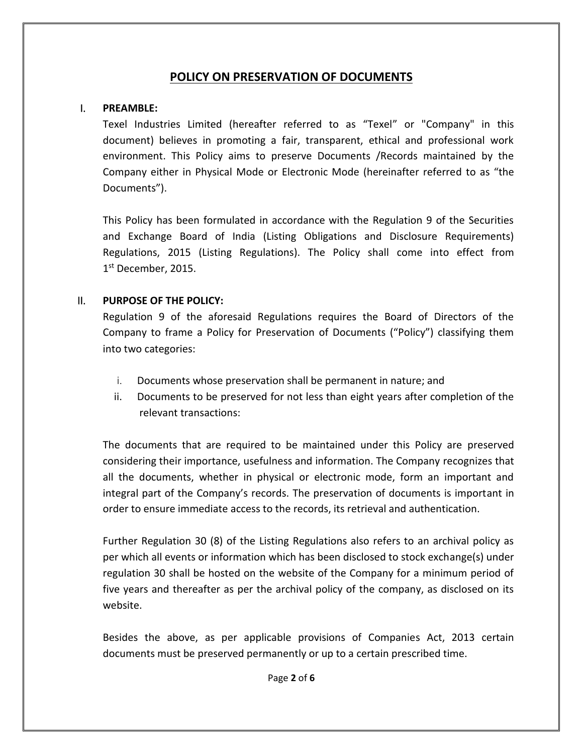## **POLICY ON PRESERVATION OF DOCUMENTS**

#### I. **PREAMBLE:**

Texel Industries Limited (hereafter referred to as "Texel" or "Company" in this document) believes in promoting a fair, transparent, ethical and professional work environment. This Policy aims to preserve Documents /Records maintained by the Company either in Physical Mode or Electronic Mode (hereinafter referred to as "the Documents").

This Policy has been formulated in accordance with the Regulation 9 of the Securities and Exchange Board of India (Listing Obligations and Disclosure Requirements) Regulations, 2015 (Listing Regulations). The Policy shall come into effect from 1 st December, 2015.

### II. **PURPOSE OF THE POLICY:**

Regulation 9 of the aforesaid Regulations requires the Board of Directors of the Company to frame a Policy for Preservation of Documents ("Policy") classifying them into two categories:

- i. Documents whose preservation shall be permanent in nature; and
- ii. Documents to be preserved for not less than eight years after completion of the relevant transactions:

The documents that are required to be maintained under this Policy are preserved considering their importance, usefulness and information. The Company recognizes that all the documents, whether in physical or electronic mode, form an important and integral part of the Company's records. The preservation of documents is important in order to ensure immediate access to the records, its retrieval and authentication.

Further Regulation 30 (8) of the Listing Regulations also refers to an archival policy as per which all events or information which has been disclosed to stock exchange(s) under regulation 30 shall be hosted on the website of the Company for a minimum period of five years and thereafter as per the archival policy of the company, as disclosed on its website.

Besides the above, as per applicable provisions of Companies Act, 2013 certain documents must be preserved permanently or up to a certain prescribed time.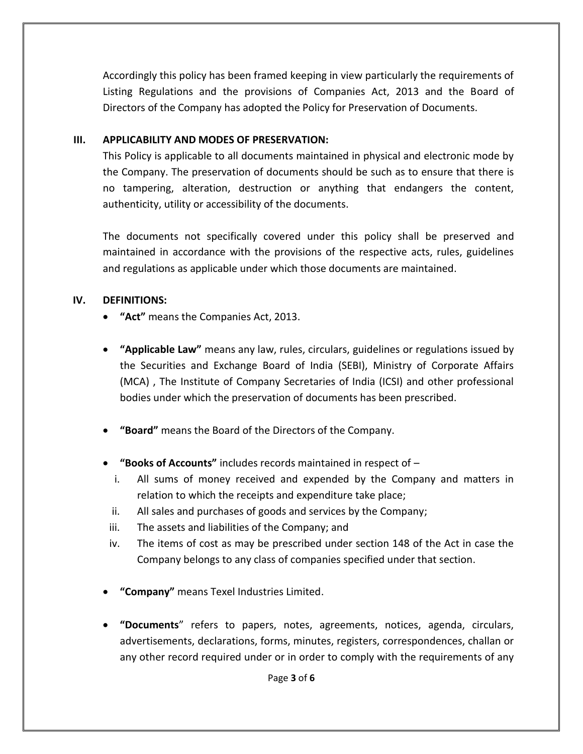Accordingly this policy has been framed keeping in view particularly the requirements of Listing Regulations and the provisions of Companies Act, 2013 and the Board of Directors of the Company has adopted the Policy for Preservation of Documents.

### **III. APPLICABILITY AND MODES OF PRESERVATION:**

This Policy is applicable to all documents maintained in physical and electronic mode by the Company. The preservation of documents should be such as to ensure that there is no tampering, alteration, destruction or anything that endangers the content, authenticity, utility or accessibility of the documents.

The documents not specifically covered under this policy shall be preserved and maintained in accordance with the provisions of the respective acts, rules, guidelines and regulations as applicable under which those documents are maintained.

## **IV. DEFINITIONS:**

- **"Act"** means the Companies Act, 2013.
- **"Applicable Law"** means any law, rules, circulars, guidelines or regulations issued by the Securities and Exchange Board of India (SEBI), Ministry of Corporate Affairs (MCA) , The Institute of Company Secretaries of India (ICSI) and other professional bodies under which the preservation of documents has been prescribed.
- **"Board"** means the Board of the Directors of the Company.
- **"Books of Accounts"** includes records maintained in respect of
	- i. All sums of money received and expended by the Company and matters in relation to which the receipts and expenditure take place;
	- ii. All sales and purchases of goods and services by the Company;
	- iii. The assets and liabilities of the Company; and
	- iv. The items of cost as may be prescribed under section 148 of the Act in case the Company belongs to any class of companies specified under that section.
- **"Company"** means Texel Industries Limited.
- **"Documents**" refers to papers, notes, agreements, notices, agenda, circulars, advertisements, declarations, forms, minutes, registers, correspondences, challan or any other record required under or in order to comply with the requirements of any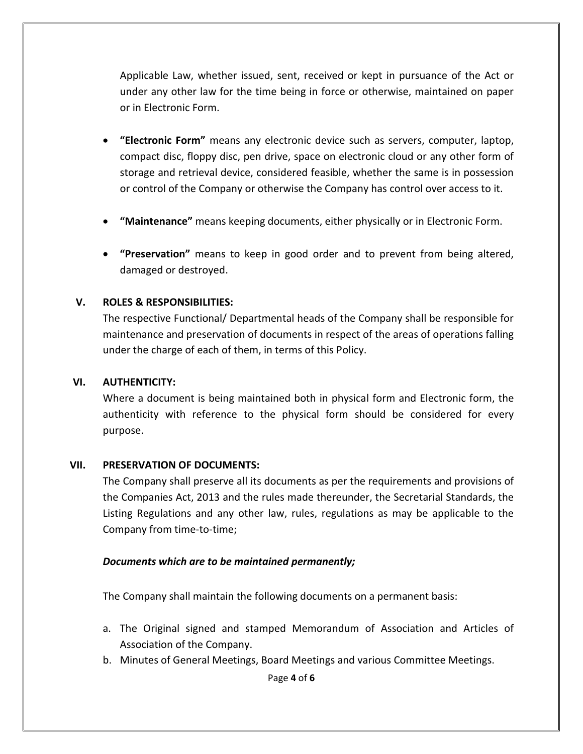Applicable Law, whether issued, sent, received or kept in pursuance of the Act or under any other law for the time being in force or otherwise, maintained on paper or in Electronic Form.

- **"Electronic Form"** means any electronic device such as servers, computer, laptop, compact disc, floppy disc, pen drive, space on electronic cloud or any other form of storage and retrieval device, considered feasible, whether the same is in possession or control of the Company or otherwise the Company has control over access to it.
- **"Maintenance"** means keeping documents, either physically or in Electronic Form.
- **"Preservation"** means to keep in good order and to prevent from being altered, damaged or destroyed.

### **V. ROLES & RESPONSIBILITIES:**

The respective Functional/ Departmental heads of the Company shall be responsible for maintenance and preservation of documents in respect of the areas of operations falling under the charge of each of them, in terms of this Policy.

#### **VI. AUTHENTICITY:**

Where a document is being maintained both in physical form and Electronic form, the authenticity with reference to the physical form should be considered for every purpose.

#### **VII. PRESERVATION OF DOCUMENTS:**

The Company shall preserve all its documents as per the requirements and provisions of the Companies Act, 2013 and the rules made thereunder, the Secretarial Standards, the Listing Regulations and any other law, rules, regulations as may be applicable to the Company from time-to-time;

### *Documents which are to be maintained permanently;*

The Company shall maintain the following documents on a permanent basis:

- a. The Original signed and stamped Memorandum of Association and Articles of Association of the Company.
- b. Minutes of General Meetings, Board Meetings and various Committee Meetings.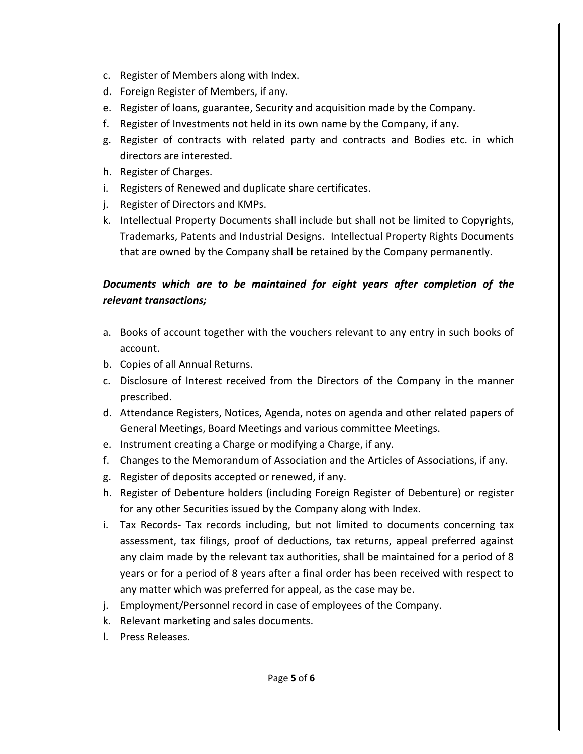- c. Register of Members along with Index.
- d. Foreign Register of Members, if any.
- e. Register of loans, guarantee, Security and acquisition made by the Company.
- f. Register of Investments not held in its own name by the Company, if any.
- g. Register of contracts with related party and contracts and Bodies etc. in which directors are interested.
- h. Register of Charges.
- i. Registers of Renewed and duplicate share certificates.
- j. Register of Directors and KMPs.
- k. Intellectual Property Documents shall include but shall not be limited to Copyrights, Trademarks, Patents and Industrial Designs. Intellectual Property Rights Documents that are owned by the Company shall be retained by the Company permanently.

## *Documents which are to be maintained for eight years after completion of the relevant transactions;*

- a. Books of account together with the vouchers relevant to any entry in such books of account.
- b. Copies of all Annual Returns.
- c. Disclosure of Interest received from the Directors of the Company in the manner prescribed.
- d. Attendance Registers, Notices, Agenda, notes on agenda and other related papers of General Meetings, Board Meetings and various committee Meetings.
- e. Instrument creating a Charge or modifying a Charge, if any.
- f. Changes to the Memorandum of Association and the Articles of Associations, if any.
- g. Register of deposits accepted or renewed, if any.
- h. Register of Debenture holders (including Foreign Register of Debenture) or register for any other Securities issued by the Company along with Index.
- i. Tax Records- Tax records including, but not limited to documents concerning tax assessment, tax filings, proof of deductions, tax returns, appeal preferred against any claim made by the relevant tax authorities, shall be maintained for a period of 8 years or for a period of 8 years after a final order has been received with respect to any matter which was preferred for appeal, as the case may be.
- j. Employment/Personnel record in case of employees of the Company.
- k. Relevant marketing and sales documents.
- l. Press Releases.